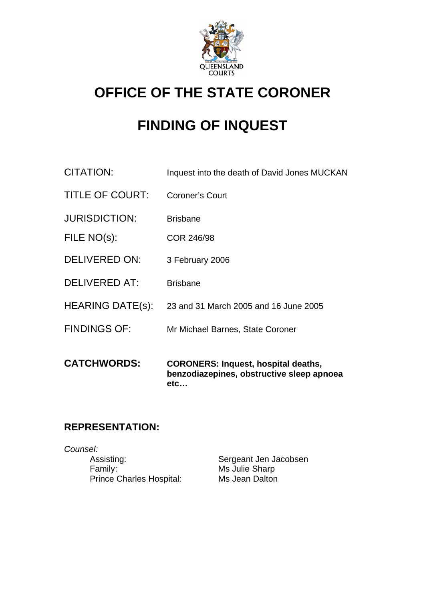

## **OFFICE OF THE STATE CORONER**

# **FINDING OF INQUEST**

- CITATION: Inquest into the death of David Jones MUCKAN
- TITLE OF COURT: Coroner's Court
- JURISDICTION: Brisbane
- FILE NO(s): COR 246/98
- DELIVERED ON: 3 February 2006
- DELIVERED AT: Brisbane
- HEARING DATE(s): 23 and 31 March 2005 and 16 June 2005
- FINDINGS OF: Mr Michael Barnes, State Coroner
- **CATCHWORDS: CORONERS: Inquest, hospital deaths, benzodiazepines, obstructive sleep apnoea etc…**

## **REPRESENTATION:**

*Counsel:*  Assisting: Sergeant Jen Jacobsen Family: Ms Julie Sharp Prince Charles Hospital: Ms Jean Dalton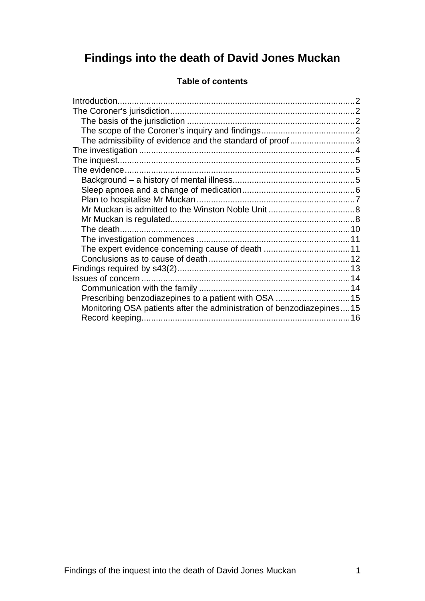## **Findings into the death of David Jones Muckan**

| The admissibility of evidence and the standard of proof 3             |  |
|-----------------------------------------------------------------------|--|
|                                                                       |  |
|                                                                       |  |
|                                                                       |  |
|                                                                       |  |
|                                                                       |  |
|                                                                       |  |
|                                                                       |  |
|                                                                       |  |
|                                                                       |  |
|                                                                       |  |
| The expert evidence concerning cause of death 11                      |  |
|                                                                       |  |
|                                                                       |  |
|                                                                       |  |
|                                                                       |  |
| Prescribing benzodiazepines to a patient with OSA 15                  |  |
| Monitoring OSA patients after the administration of benzodiazepines15 |  |
|                                                                       |  |

### **Table of contents**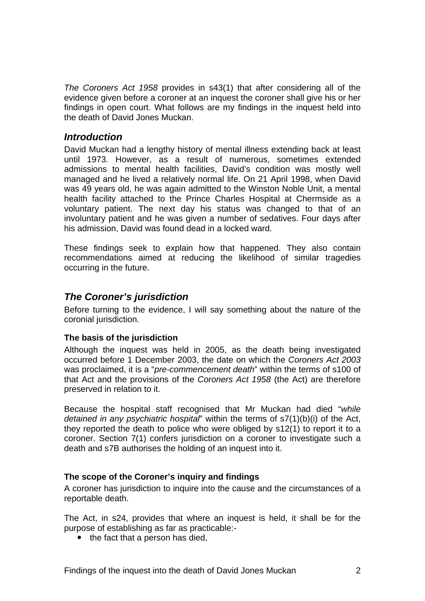<span id="page-2-0"></span>*The Coroners Act 1958* provides in s43(1) that after considering all of the evidence given before a coroner at an inquest the coroner shall give his or her findings in open court. What follows are my findings in the inquest held into the death of David Jones Muckan.

#### *Introduction*

David Muckan had a lengthy history of mental illness extending back at least until 1973. However, as a result of numerous, sometimes extended admissions to mental health facilities, David's condition was mostly well managed and he lived a relatively normal life. On 21 April 1998, when David was 49 years old, he was again admitted to the Winston Noble Unit, a mental health facility attached to the Prince Charles Hospital at Chermside as a voluntary patient. The next day his status was changed to that of an involuntary patient and he was given a number of sedatives. Four days after his admission, David was found dead in a locked ward.

These findings seek to explain how that happened. They also contain recommendations aimed at reducing the likelihood of similar tragedies occurring in the future.

## *The Coroner's jurisdiction*

Before turning to the evidence, I will say something about the nature of the coronial jurisdiction.

#### **The basis of the jurisdiction**

Although the inquest was held in 2005, as the death being investigated occurred before 1 December 2003, the date on which the *Coroners Act 2003* was proclaimed, it is a "*pre-commencement death*" within the terms of s100 of that Act and the provisions of the *Coroners Act 1958* (the Act) are therefore preserved in relation to it.

Because the hospital staff recognised that Mr Muckan had died "*while detained in any psychiatric hospital*" within the terms of s7(1)(b)(i) of the Act, they reported the death to police who were obliged by s12(1) to report it to a coroner. Section 7(1) confers jurisdiction on a coroner to investigate such a death and s7B authorises the holding of an inquest into it.

#### **The scope of the Coroner's inquiry and findings**

A coroner has jurisdiction to inquire into the cause and the circumstances of a reportable death.

The Act, in s24, provides that where an inquest is held, it shall be for the purpose of establishing as far as practicable:-

 $\bullet$  the fact that a person has died.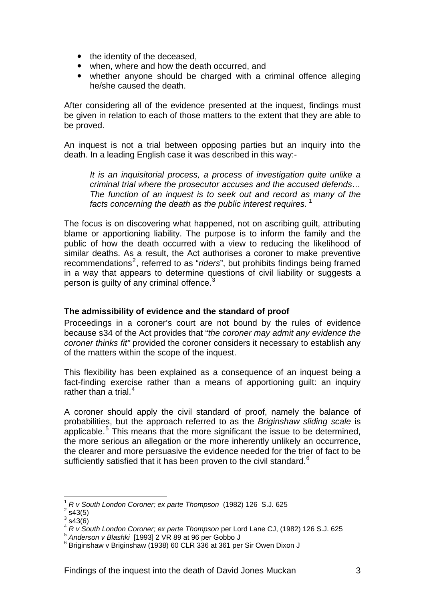- <span id="page-3-0"></span> $\bullet$  the identity of the deceased,
- when, where and how the death occurred, and
- whether anyone should be charged with a criminal offence alleging he/she caused the death.

After considering all of the evidence presented at the inquest, findings must be given in relation to each of those matters to the extent that they are able to be proved.

An inquest is not a trial between opposing parties but an inquiry into the death. In a leading English case it was described in this way:-

*It is an inquisitorial process, a process of investigation quite unlike a criminal trial where the prosecutor accuses and the accused defends… The function of an inquest is to seek out and record as many of the*  facts concerning the death as the public interest requires.<sup>[1](#page-3-1)</sup>

The focus is on discovering what happened, not on ascribing guilt, attributing blame or apportioning liability. The purpose is to inform the family and the public of how the death occurred with a view to reducing the likelihood of similar deaths. As a result, the Act authorises a coroner to make preventive recommendations<sup>[2](#page-3-2)</sup>, referred to as "*riders*", but prohibits findings being framed in a way that appears to determine questions of civil liability or suggests a person is guilty of any criminal offence. $3$ 

#### **The admissibility of evidence and the standard of proof**

Proceedings in a coroner's court are not bound by the rules of evidence because s34 of the Act provides that "*the coroner may admit any evidence the coroner thinks fit"* provided the coroner considers it necessary to establish any of the matters within the scope of the inquest.

This flexibility has been explained as a consequence of an inquest being a fact-finding exercise rather than a means of apportioning guilt: an inquiry rather than a trial. $4$ 

A coroner should apply the civil standard of proof, namely the balance of probabilities, but the approach referred to as the *Briginshaw sliding scale* is applicable.<sup>[5](#page-3-5)</sup> This means that the more significant the issue to be determined, the more serious an allegation or the more inherently unlikely an occurrence, the clearer and more persuasive the evidence needed for the trier of fact to be sufficiently satisfied that it has been proven to the civil standard. $6$ 

l

<sup>1</sup> *R v South London Coroner; ex parte Thompson* (1982) 126 S.J. 625 2

<span id="page-3-3"></span><span id="page-3-2"></span><span id="page-3-1"></span> $2$  s43(5)

 $3$  s43(6)

<span id="page-3-4"></span><sup>&</sup>lt;sup>4</sup> *R v South London Coroner; ex parte Thompson* per Lord Lane CJ, (1982) 126 S.J. 625<br><sup>5</sup> Anderson v Blashki [1993] 2 VR 89 at 96 per Gobbo J

<span id="page-3-6"></span><span id="page-3-5"></span> $6$  Briginshaw v Briginshaw (1938) 60 CLR 336 at 361 per Sir Owen Dixon J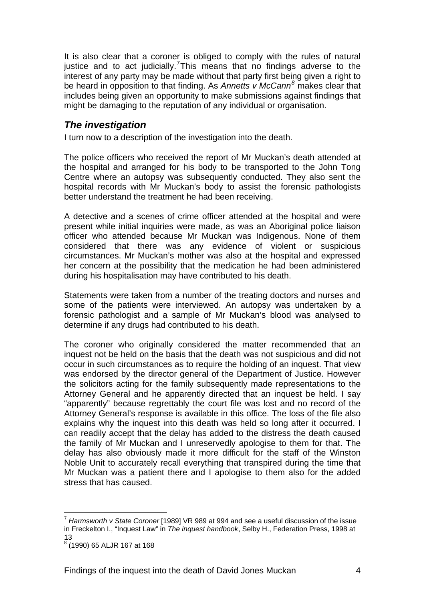<span id="page-4-0"></span>It is also clear that a coroner is obliged to comply with the rules of natural justice and to act judicially.<sup>[7](#page-4-1)</sup>This means that no findings adverse to the interest of any party may be made without that party first being given a right to be heard in opposition to that finding. As *Annetts v McCann[8](#page-4-2)* makes clear that includes being given an opportunity to make submissions against findings that might be damaging to the reputation of any individual or organisation.

## *The investigation*

I turn now to a description of the investigation into the death.

The police officers who received the report of Mr Muckan's death attended at the hospital and arranged for his body to be transported to the John Tong Centre where an autopsy was subsequently conducted. They also sent the hospital records with Mr Muckan's body to assist the forensic pathologists better understand the treatment he had been receiving.

A detective and a scenes of crime officer attended at the hospital and were present while initial inquiries were made, as was an Aboriginal police liaison officer who attended because Mr Muckan was Indigenous. None of them considered that there was any evidence of violent or suspicious circumstances. Mr Muckan's mother was also at the hospital and expressed her concern at the possibility that the medication he had been administered during his hospitalisation may have contributed to his death.

Statements were taken from a number of the treating doctors and nurses and some of the patients were interviewed. An autopsy was undertaken by a forensic pathologist and a sample of Mr Muckan's blood was analysed to determine if any drugs had contributed to his death.

The coroner who originally considered the matter recommended that an inquest not be held on the basis that the death was not suspicious and did not occur in such circumstances as to require the holding of an inquest. That view was endorsed by the director general of the Department of Justice. However the solicitors acting for the family subsequently made representations to the Attorney General and he apparently directed that an inquest be held. I say "apparently" because regrettably the court file was lost and no record of the Attorney General's response is available in this office. The loss of the file also explains why the inquest into this death was held so long after it occurred. I can readily accept that the delay has added to the distress the death caused the family of Mr Muckan and I unreservedly apologise to them for that. The delay has also obviously made it more difficult for the staff of the Winston Noble Unit to accurately recall everything that transpired during the time that Mr Muckan was a patient there and I apologise to them also for the added stress that has caused.

l

<span id="page-4-1"></span><sup>7</sup> *Harmsworth v State Coroner* [1989] VR 989 at 994 and see a useful discussion of the issue in Freckelton I., "Inquest Law" in *The inquest handbook*, Selby H., Federation Press, 1998 at 13

<span id="page-4-2"></span><sup>8</sup> (1990) 65 ALJR 167 at 168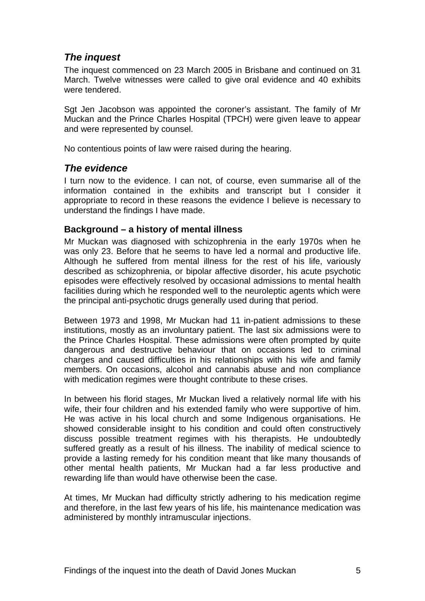## <span id="page-5-0"></span>*The inquest*

The inquest commenced on 23 March 2005 in Brisbane and continued on 31 March. Twelve witnesses were called to give oral evidence and 40 exhibits were tendered.

Sgt Jen Jacobson was appointed the coroner's assistant. The family of Mr Muckan and the Prince Charles Hospital (TPCH) were given leave to appear and were represented by counsel.

No contentious points of law were raised during the hearing.

#### *The evidence*

I turn now to the evidence. I can not, of course, even summarise all of the information contained in the exhibits and transcript but I consider it appropriate to record in these reasons the evidence I believe is necessary to understand the findings I have made.

#### **Background – a history of mental illness**

Mr Muckan was diagnosed with schizophrenia in the early 1970s when he was only 23. Before that he seems to have led a normal and productive life. Although he suffered from mental illness for the rest of his life, variously described as schizophrenia, or bipolar affective disorder, his acute psychotic episodes were effectively resolved by occasional admissions to mental health facilities during which he responded well to the neuroleptic agents which were the principal anti-psychotic drugs generally used during that period.

Between 1973 and 1998, Mr Muckan had 11 in-patient admissions to these institutions, mostly as an involuntary patient. The last six admissions were to the Prince Charles Hospital. These admissions were often prompted by quite dangerous and destructive behaviour that on occasions led to criminal charges and caused difficulties in his relationships with his wife and family members. On occasions, alcohol and cannabis abuse and non compliance with medication regimes were thought contribute to these crises.

In between his florid stages, Mr Muckan lived a relatively normal life with his wife, their four children and his extended family who were supportive of him. He was active in his local church and some Indigenous organisations. He showed considerable insight to his condition and could often constructively discuss possible treatment regimes with his therapists. He undoubtedly suffered greatly as a result of his illness. The inability of medical science to provide a lasting remedy for his condition meant that like many thousands of other mental health patients, Mr Muckan had a far less productive and rewarding life than would have otherwise been the case.

At times, Mr Muckan had difficulty strictly adhering to his medication regime and therefore, in the last few years of his life, his maintenance medication was administered by monthly intramuscular injections.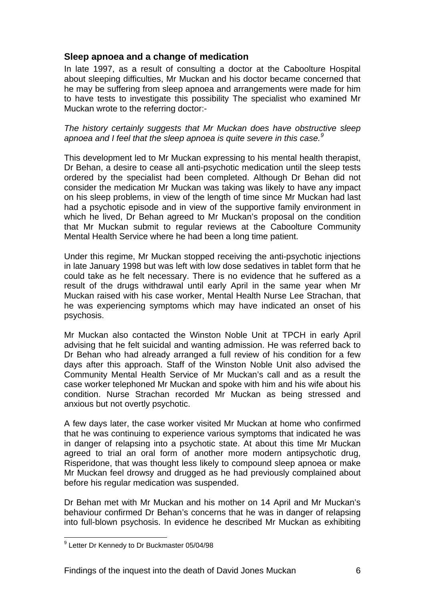#### <span id="page-6-0"></span>**Sleep apnoea and a change of medication**

In late 1997, as a result of consulting a doctor at the Caboolture Hospital about sleeping difficulties, Mr Muckan and his doctor became concerned that he may be suffering from sleep apnoea and arrangements were made for him to have tests to investigate this possibility The specialist who examined Mr Muckan wrote to the referring doctor:-

*The history certainly suggests that Mr Muckan does have obstructive sleep apnoea and I feel that the sleep apnoea is quite severe in this case.[9](#page-6-1)*

This development led to Mr Muckan expressing to his mental health therapist, Dr Behan, a desire to cease all anti-psychotic medication until the sleep tests ordered by the specialist had been completed. Although Dr Behan did not consider the medication Mr Muckan was taking was likely to have any impact on his sleep problems, in view of the length of time since Mr Muckan had last had a psychotic episode and in view of the supportive family environment in which he lived, Dr Behan agreed to Mr Muckan's proposal on the condition that Mr Muckan submit to regular reviews at the Caboolture Community Mental Health Service where he had been a long time patient.

Under this regime, Mr Muckan stopped receiving the anti-psychotic injections in late January 1998 but was left with low dose sedatives in tablet form that he could take as he felt necessary. There is no evidence that he suffered as a result of the drugs withdrawal until early April in the same year when Mr Muckan raised with his case worker, Mental Health Nurse Lee Strachan, that he was experiencing symptoms which may have indicated an onset of his psychosis.

Mr Muckan also contacted the Winston Noble Unit at TPCH in early April advising that he felt suicidal and wanting admission. He was referred back to Dr Behan who had already arranged a full review of his condition for a few days after this approach. Staff of the Winston Noble Unit also advised the Community Mental Health Service of Mr Muckan's call and as a result the case worker telephoned Mr Muckan and spoke with him and his wife about his condition. Nurse Strachan recorded Mr Muckan as being stressed and anxious but not overtly psychotic.

A few days later, the case worker visited Mr Muckan at home who confirmed that he was continuing to experience various symptoms that indicated he was in danger of relapsing into a psychotic state. At about this time Mr Muckan agreed to trial an oral form of another more modern antipsychotic drug, Risperidone, that was thought less likely to compound sleep apnoea or make Mr Muckan feel drowsy and drugged as he had previously complained about before his regular medication was suspended.

Dr Behan met with Mr Muckan and his mother on 14 April and Mr Muckan's behaviour confirmed Dr Behan's concerns that he was in danger of relapsing into full-blown psychosis. In evidence he described Mr Muckan as exhibiting

<span id="page-6-1"></span> 9 Letter Dr Kennedy to Dr Buckmaster 05/04/98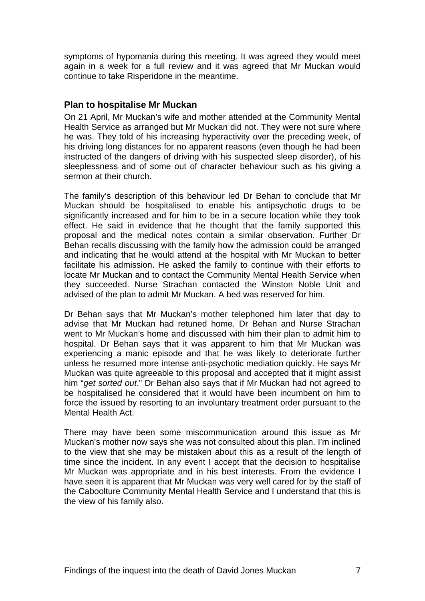<span id="page-7-0"></span>symptoms of hypomania during this meeting. It was agreed they would meet again in a week for a full review and it was agreed that Mr Muckan would continue to take Risperidone in the meantime.

#### **Plan to hospitalise Mr Muckan**

On 21 April, Mr Muckan's wife and mother attended at the Community Mental Health Service as arranged but Mr Muckan did not. They were not sure where he was. They told of his increasing hyperactivity over the preceding week, of his driving long distances for no apparent reasons (even though he had been instructed of the dangers of driving with his suspected sleep disorder), of his sleeplessness and of some out of character behaviour such as his giving a sermon at their church.

The family's description of this behaviour led Dr Behan to conclude that Mr Muckan should be hospitalised to enable his antipsychotic drugs to be significantly increased and for him to be in a secure location while they took effect. He said in evidence that he thought that the family supported this proposal and the medical notes contain a similar observation. Further Dr Behan recalls discussing with the family how the admission could be arranged and indicating that he would attend at the hospital with Mr Muckan to better facilitate his admission. He asked the family to continue with their efforts to locate Mr Muckan and to contact the Community Mental Health Service when they succeeded. Nurse Strachan contacted the Winston Noble Unit and advised of the plan to admit Mr Muckan. A bed was reserved for him.

Dr Behan says that Mr Muckan's mother telephoned him later that day to advise that Mr Muckan had retuned home. Dr Behan and Nurse Strachan went to Mr Muckan's home and discussed with him their plan to admit him to hospital. Dr Behan says that it was apparent to him that Mr Muckan was experiencing a manic episode and that he was likely to deteriorate further unless he resumed more intense anti-psychotic mediation quickly. He says Mr Muckan was quite agreeable to this proposal and accepted that it might assist him "*get sorted out*." Dr Behan also says that if Mr Muckan had not agreed to be hospitalised he considered that it would have been incumbent on him to force the issued by resorting to an involuntary treatment order pursuant to the Mental Health Act.

There may have been some miscommunication around this issue as Mr Muckan's mother now says she was not consulted about this plan. I'm inclined to the view that she may be mistaken about this as a result of the length of time since the incident. In any event I accept that the decision to hospitalise Mr Muckan was appropriate and in his best interests. From the evidence I have seen it is apparent that Mr Muckan was very well cared for by the staff of the Caboolture Community Mental Health Service and I understand that this is the view of his family also.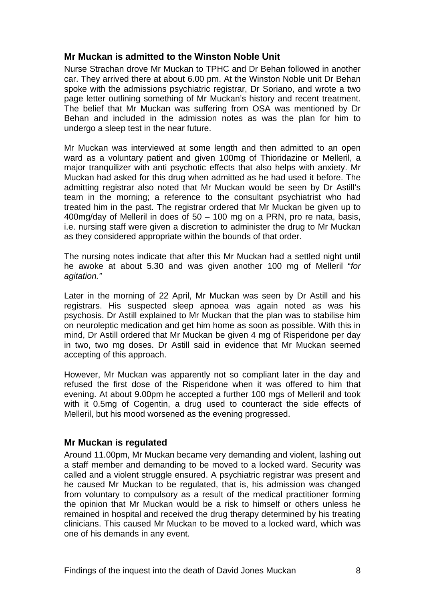#### <span id="page-8-0"></span>**Mr Muckan is admitted to the Winston Noble Unit**

Nurse Strachan drove Mr Muckan to TPHC and Dr Behan followed in another car. They arrived there at about 6.00 pm. At the Winston Noble unit Dr Behan spoke with the admissions psychiatric registrar, Dr Soriano, and wrote a two page letter outlining something of Mr Muckan's history and recent treatment. The belief that Mr Muckan was suffering from OSA was mentioned by Dr Behan and included in the admission notes as was the plan for him to undergo a sleep test in the near future.

Mr Muckan was interviewed at some length and then admitted to an open ward as a voluntary patient and given 100mg of Thioridazine or Melleril, a major tranquilizer with anti psychotic effects that also helps with anxiety. Mr Muckan had asked for this drug when admitted as he had used it before. The admitting registrar also noted that Mr Muckan would be seen by Dr Astill's team in the morning; a reference to the consultant psychiatrist who had treated him in the past. The registrar ordered that Mr Muckan be given up to 400mg/day of Melleril in does of 50 – 100 mg on a PRN, pro re nata, basis, i.e. nursing staff were given a discretion to administer the drug to Mr Muckan as they considered appropriate within the bounds of that order.

The nursing notes indicate that after this Mr Muckan had a settled night until he awoke at about 5.30 and was given another 100 mg of Melleril "*for agitation."* 

Later in the morning of 22 April, Mr Muckan was seen by Dr Astill and his registrars. His suspected sleep apnoea was again noted as was his psychosis. Dr Astill explained to Mr Muckan that the plan was to stabilise him on neuroleptic medication and get him home as soon as possible. With this in mind, Dr Astill ordered that Mr Muckan be given 4 mg of Risperidone per day in two, two mg doses. Dr Astill said in evidence that Mr Muckan seemed accepting of this approach.

However, Mr Muckan was apparently not so compliant later in the day and refused the first dose of the Risperidone when it was offered to him that evening. At about 9.00pm he accepted a further 100 mgs of Melleril and took with it 0.5mg of Cogentin, a drug used to counteract the side effects of Melleril, but his mood worsened as the evening progressed.

#### **Mr Muckan is regulated**

Around 11.00pm, Mr Muckan became very demanding and violent, lashing out a staff member and demanding to be moved to a locked ward. Security was called and a violent struggle ensured. A psychiatric registrar was present and he caused Mr Muckan to be regulated, that is, his admission was changed from voluntary to compulsory as a result of the medical practitioner forming the opinion that Mr Muckan would be a risk to himself or others unless he remained in hospital and received the drug therapy determined by his treating clinicians. This caused Mr Muckan to be moved to a locked ward, which was one of his demands in any event.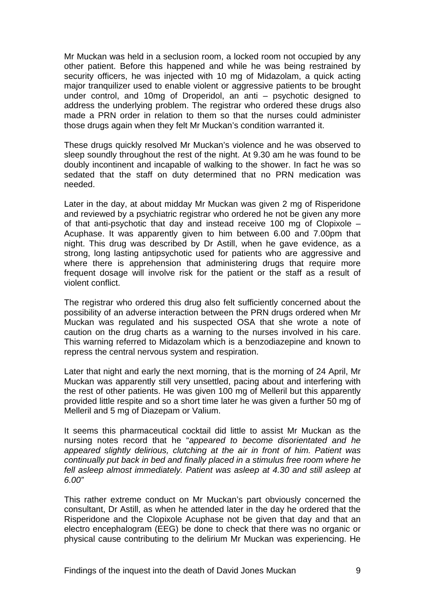Mr Muckan was held in a seclusion room, a locked room not occupied by any other patient. Before this happened and while he was being restrained by security officers, he was injected with 10 mg of Midazolam, a quick acting major tranquilizer used to enable violent or aggressive patients to be brought under control, and 10mg of Droperidol, an anti – psychotic designed to address the underlying problem. The registrar who ordered these drugs also made a PRN order in relation to them so that the nurses could administer those drugs again when they felt Mr Muckan's condition warranted it.

These drugs quickly resolved Mr Muckan's violence and he was observed to sleep soundly throughout the rest of the night. At 9.30 am he was found to be doubly incontinent and incapable of walking to the shower. In fact he was so sedated that the staff on duty determined that no PRN medication was needed.

Later in the day, at about midday Mr Muckan was given 2 mg of Risperidone and reviewed by a psychiatric registrar who ordered he not be given any more of that anti-psychotic that day and instead receive 100 mg of Clopixole – Acuphase. It was apparently given to him between 6.00 and 7.00pm that night. This drug was described by Dr Astill, when he gave evidence, as a strong, long lasting antipsychotic used for patients who are aggressive and where there is apprehension that administering drugs that require more frequent dosage will involve risk for the patient or the staff as a result of violent conflict.

The registrar who ordered this drug also felt sufficiently concerned about the possibility of an adverse interaction between the PRN drugs ordered when Mr Muckan was regulated and his suspected OSA that she wrote a note of caution on the drug charts as a warning to the nurses involved in his care. This warning referred to Midazolam which is a benzodiazepine and known to repress the central nervous system and respiration.

Later that night and early the next morning, that is the morning of 24 April, Mr Muckan was apparently still very unsettled, pacing about and interfering with the rest of other patients. He was given 100 mg of Melleril but this apparently provided little respite and so a short time later he was given a further 50 mg of Melleril and 5 mg of Diazepam or Valium.

It seems this pharmaceutical cocktail did little to assist Mr Muckan as the nursing notes record that he "*appeared to become disorientated and he appeared slightly delirious, clutching at the air in front of him. Patient was continually put back in bed and finally placed in a stimulus free room where he fell asleep almost immediately. Patient was asleep at 4.30 and still asleep at 6.00"* 

This rather extreme conduct on Mr Muckan's part obviously concerned the consultant, Dr Astill, as when he attended later in the day he ordered that the Risperidone and the Clopixole Acuphase not be given that day and that an electro encephalogram (EEG) be done to check that there was no organic or physical cause contributing to the delirium Mr Muckan was experiencing. He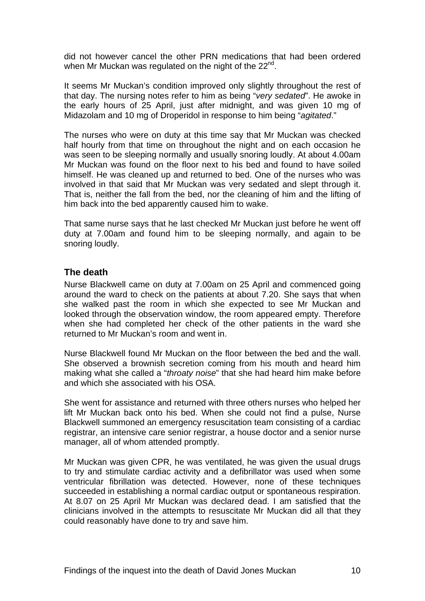<span id="page-10-0"></span>did not however cancel the other PRN medications that had been ordered when Mr Muckan was regulated on the night of the 22<sup>nd</sup>.

It seems Mr Muckan's condition improved only slightly throughout the rest of that day. The nursing notes refer to him as being "*very sedated*". He awoke in the early hours of 25 April, just after midnight, and was given 10 mg of Midazolam and 10 mg of Droperidol in response to him being "*agitated*."

The nurses who were on duty at this time say that Mr Muckan was checked half hourly from that time on throughout the night and on each occasion he was seen to be sleeping normally and usually snoring loudly. At about 4.00am Mr Muckan was found on the floor next to his bed and found to have soiled himself. He was cleaned up and returned to bed. One of the nurses who was involved in that said that Mr Muckan was very sedated and slept through it. That is, neither the fall from the bed, nor the cleaning of him and the lifting of him back into the bed apparently caused him to wake.

That same nurse says that he last checked Mr Muckan just before he went off duty at 7.00am and found him to be sleeping normally, and again to be snoring loudly.

#### **The death**

Nurse Blackwell came on duty at 7.00am on 25 April and commenced going around the ward to check on the patients at about 7.20. She says that when she walked past the room in which she expected to see Mr Muckan and looked through the observation window, the room appeared empty. Therefore when she had completed her check of the other patients in the ward she returned to Mr Muckan's room and went in.

Nurse Blackwell found Mr Muckan on the floor between the bed and the wall. She observed a brownish secretion coming from his mouth and heard him making what she called a "*throaty noise*" that she had heard him make before and which she associated with his OSA.

She went for assistance and returned with three others nurses who helped her lift Mr Muckan back onto his bed. When she could not find a pulse, Nurse Blackwell summoned an emergency resuscitation team consisting of a cardiac registrar, an intensive care senior registrar, a house doctor and a senior nurse manager, all of whom attended promptly.

Mr Muckan was given CPR, he was ventilated, he was given the usual drugs to try and stimulate cardiac activity and a defibrillator was used when some ventricular fibrillation was detected. However, none of these techniques succeeded in establishing a normal cardiac output or spontaneous respiration. At 8.07 on 25 April Mr Muckan was declared dead. I am satisfied that the clinicians involved in the attempts to resuscitate Mr Muckan did all that they could reasonably have done to try and save him.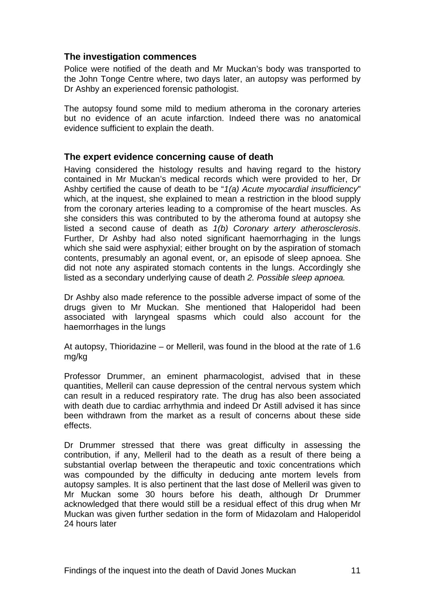#### <span id="page-11-0"></span>**The investigation commences**

Police were notified of the death and Mr Muckan's body was transported to the John Tonge Centre where, two days later, an autopsy was performed by Dr Ashby an experienced forensic pathologist.

The autopsy found some mild to medium atheroma in the coronary arteries but no evidence of an acute infarction. Indeed there was no anatomical evidence sufficient to explain the death.

#### **The expert evidence concerning cause of death**

Having considered the histology results and having regard to the history contained in Mr Muckan's medical records which were provided to her, Dr Ashby certified the cause of death to be "*1(a) Acute myocardial insufficiency*" which, at the inquest, she explained to mean a restriction in the blood supply from the coronary arteries leading to a compromise of the heart muscles. As she considers this was contributed to by the atheroma found at autopsy she listed a second cause of death as *1(b) Coronary artery atherosclerosis*. Further, Dr Ashby had also noted significant haemorrhaging in the lungs which she said were asphyxial; either brought on by the aspiration of stomach contents, presumably an agonal event, or, an episode of sleep apnoea. She did not note any aspirated stomach contents in the lungs. Accordingly she listed as a secondary underlying cause of death *2. Possible sleep apnoea.* 

Dr Ashby also made reference to the possible adverse impact of some of the drugs given to Mr Muckan. She mentioned that Haloperidol had been associated with laryngeal spasms which could also account for the haemorrhages in the lungs

At autopsy, Thioridazine – or Melleril, was found in the blood at the rate of 1.6 mg/kg

Professor Drummer, an eminent pharmacologist, advised that in these quantities, Melleril can cause depression of the central nervous system which can result in a reduced respiratory rate. The drug has also been associated with death due to cardiac arrhythmia and indeed Dr Astill advised it has since been withdrawn from the market as a result of concerns about these side effects.

Dr Drummer stressed that there was great difficulty in assessing the contribution, if any, Melleril had to the death as a result of there being a substantial overlap between the therapeutic and toxic concentrations which was compounded by the difficulty in deducing ante mortem levels from autopsy samples. It is also pertinent that the last dose of Melleril was given to Mr Muckan some 30 hours before his death, although Dr Drummer acknowledged that there would still be a residual effect of this drug when Mr Muckan was given further sedation in the form of Midazolam and Haloperidol 24 hours later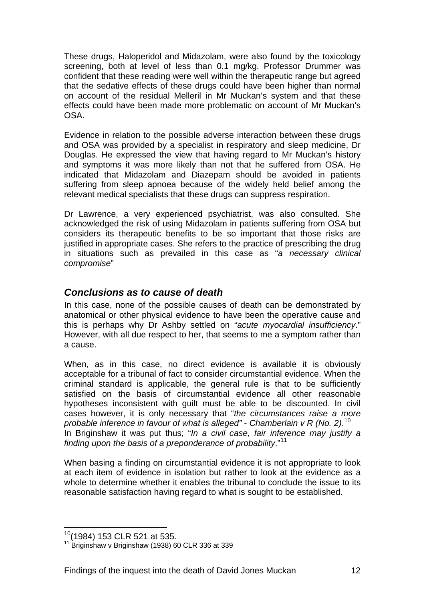<span id="page-12-0"></span>These drugs, Haloperidol and Midazolam, were also found by the toxicology screening, both at level of less than 0.1 mg/kg. Professor Drummer was confident that these reading were well within the therapeutic range but agreed that the sedative effects of these drugs could have been higher than normal on account of the residual Melleril in Mr Muckan's system and that these effects could have been made more problematic on account of Mr Muckan's OSA.

Evidence in relation to the possible adverse interaction between these drugs and OSA was provided by a specialist in respiratory and sleep medicine, Dr Douglas. He expressed the view that having regard to Mr Muckan's history and symptoms it was more likely than not that he suffered from OSA. He indicated that Midazolam and Diazepam should be avoided in patients suffering from sleep apnoea because of the widely held belief among the relevant medical specialists that these drugs can suppress respiration.

Dr Lawrence, a very experienced psychiatrist, was also consulted. She acknowledged the risk of using Midazolam in patients suffering from OSA but considers its therapeutic benefits to be so important that those risks are justified in appropriate cases. She refers to the practice of prescribing the drug in situations such as prevailed in this case as "*a necessary clinical compromise*"

### *Conclusions as to cause of death*

In this case, none of the possible causes of death can be demonstrated by anatomical or other physical evidence to have been the operative cause and this is perhaps why Dr Ashby settled on "*acute myocardial insufficiency*." However, with all due respect to her, that seems to me a symptom rather than a cause.

When, as in this case, no direct evidence is available it is obviously acceptable for a tribunal of fact to consider circumstantial evidence. When the criminal standard is applicable, the general rule is that to be sufficiently satisfied on the basis of circumstantial evidence all other reasonable hypotheses inconsistent with guilt must be able to be discounted. In civil cases however, it is only necessary that "*the circumstances raise a more probable inference in favour of what is alleged"* - *Chamberlain v R (No. 2)*. [10](#page-12-1) In Briginshaw it was put thus; "*In a civil case, fair inference may justify a finding upon the basis of a preponderance of probability*."[11](#page-12-2)

When basing a finding on circumstantial evidence it is not appropriate to look at each item of evidence in isolation but rather to look at the evidence as a whole to determine whether it enables the tribunal to conclude the issue to its reasonable satisfaction having regard to what is sought to be established.

 $\overline{a}$ 

<span id="page-12-2"></span><span id="page-12-1"></span> $10^{10}$ (1984) 153 CLR 521 at 535.<br> $11$  Briginshaw v Briginshaw (1938) 60 CLR 336 at 339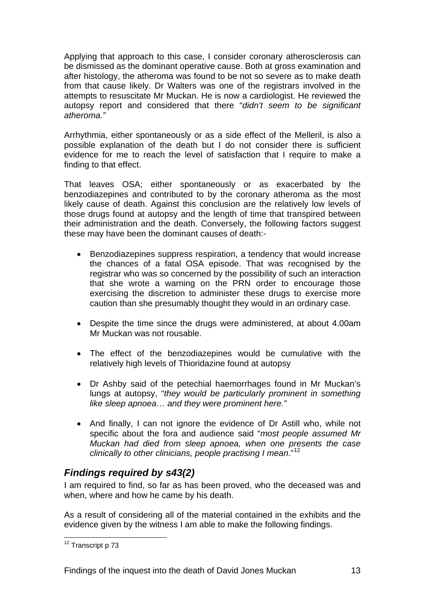<span id="page-13-0"></span>Applying that approach to this case, I consider coronary atherosclerosis can be dismissed as the dominant operative cause. Both at gross examination and after histology, the atheroma was found to be not so severe as to make death from that cause likely. Dr Walters was one of the registrars involved in the attempts to resuscitate Mr Muckan. He is now a cardiologist. He reviewed the autopsy report and considered that there "*didn't seem to be significant atheroma."* 

Arrhythmia, either spontaneously or as a side effect of the Melleril, is also a possible explanation of the death but I do not consider there is sufficient evidence for me to reach the level of satisfaction that I require to make a finding to that effect.

That leaves OSA; either spontaneously or as exacerbated by the benzodiazepines and contributed to by the coronary atheroma as the most likely cause of death. Against this conclusion are the relatively low levels of those drugs found at autopsy and the length of time that transpired between their administration and the death. Conversely, the following factors suggest these may have been the dominant causes of death:-

- Benzodiazepines suppress respiration, a tendency that would increase the chances of a fatal OSA episode. That was recognised by the registrar who was so concerned by the possibility of such an interaction that she wrote a warning on the PRN order to encourage those exercising the discretion to administer these drugs to exercise more caution than she presumably thought they would in an ordinary case.
- Despite the time since the drugs were administered, at about 4.00am Mr Muckan was not rousable.
- The effect of the benzodiazepines would be cumulative with the relatively high levels of Thioridazine found at autopsy
- Dr Ashby said of the petechial haemorrhages found in Mr Muckan's lungs at autopsy, "*they would be particularly prominent in something like sleep apnoea… and they were prominent here."*
- And finally, I can not ignore the evidence of Dr Astill who, while not specific about the fora and audience said "*most people assumed Mr Muckan had died from sleep apnoea, when one presents the case clinically to other clinicians, people practising I mean*."[12](#page-13-1)

## *Findings required by s43(2)*

I am required to find, so far as has been proved, who the deceased was and when, where and how he came by his death.

As a result of considering all of the material contained in the exhibits and the evidence given by the witness I am able to make the following findings.

<span id="page-13-1"></span>l <sup>12</sup> Transcript p 73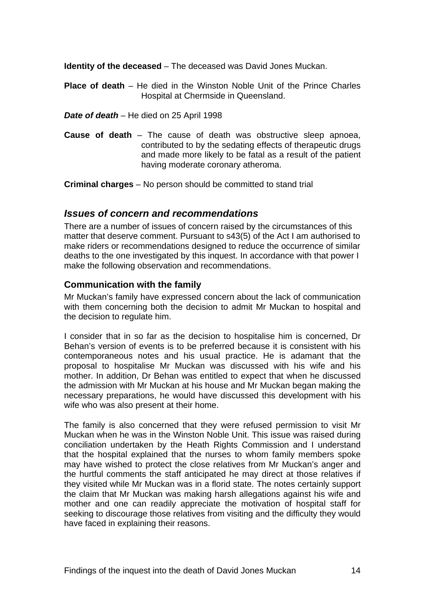<span id="page-14-0"></span>**Identity of the deceased** – The deceased was David Jones Muckan.

**Place of death** – He died in the Winston Noble Unit of the Prince Charles Hospital at Chermside in Queensland.

*Date of death* – He died on 25 April 1998

**Cause of death** – The cause of death was obstructive sleep apnoea, contributed to by the sedating effects of therapeutic drugs and made more likely to be fatal as a result of the patient having moderate coronary atheroma.

**Criminal charges** – No person should be committed to stand trial

#### *Issues of concern and recommendations*

There are a number of issues of concern raised by the circumstances of this matter that deserve comment. Pursuant to s43(5) of the Act I am authorised to make riders or recommendations designed to reduce the occurrence of similar deaths to the one investigated by this inquest. In accordance with that power I make the following observation and recommendations.

#### **Communication with the family**

Mr Muckan's family have expressed concern about the lack of communication with them concerning both the decision to admit Mr Muckan to hospital and the decision to regulate him.

I consider that in so far as the decision to hospitalise him is concerned, Dr Behan's version of events is to be preferred because it is consistent with his contemporaneous notes and his usual practice. He is adamant that the proposal to hospitalise Mr Muckan was discussed with his wife and his mother. In addition, Dr Behan was entitled to expect that when he discussed the admission with Mr Muckan at his house and Mr Muckan began making the necessary preparations, he would have discussed this development with his wife who was also present at their home.

The family is also concerned that they were refused permission to visit Mr Muckan when he was in the Winston Noble Unit. This issue was raised during conciliation undertaken by the Heath Rights Commission and I understand that the hospital explained that the nurses to whom family members spoke may have wished to protect the close relatives from Mr Muckan's anger and the hurtful comments the staff anticipated he may direct at those relatives if they visited while Mr Muckan was in a florid state. The notes certainly support the claim that Mr Muckan was making harsh allegations against his wife and mother and one can readily appreciate the motivation of hospital staff for seeking to discourage those relatives from visiting and the difficulty they would have faced in explaining their reasons.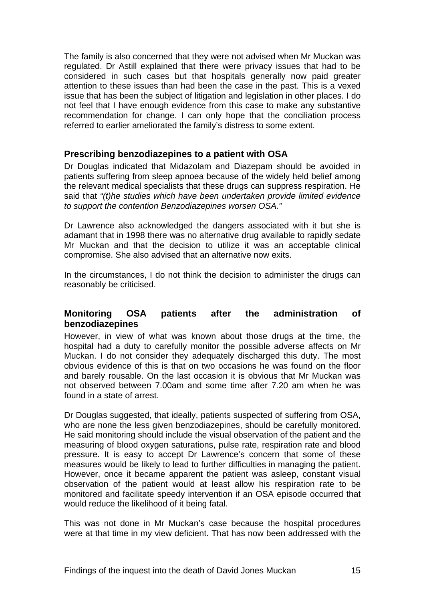<span id="page-15-0"></span>The family is also concerned that they were not advised when Mr Muckan was regulated. Dr Astill explained that there were privacy issues that had to be considered in such cases but that hospitals generally now paid greater attention to these issues than had been the case in the past. This is a vexed issue that has been the subject of litigation and legislation in other places. I do not feel that I have enough evidence from this case to make any substantive recommendation for change. I can only hope that the conciliation process referred to earlier ameliorated the family's distress to some extent.

#### **Prescribing benzodiazepines to a patient with OSA**

Dr Douglas indicated that Midazolam and Diazepam should be avoided in patients suffering from sleep apnoea because of the widely held belief among the relevant medical specialists that these drugs can suppress respiration. He said that *"(t)he studies which have been undertaken provide limited evidence to support the contention Benzodiazepines worsen OSA."* 

Dr Lawrence also acknowledged the dangers associated with it but she is adamant that in 1998 there was no alternative drug available to rapidly sedate Mr Muckan and that the decision to utilize it was an acceptable clinical compromise. She also advised that an alternative now exits.

In the circumstances, I do not think the decision to administer the drugs can reasonably be criticised.

#### **Monitoring OSA patients after the administration of benzodiazepines**

However, in view of what was known about those drugs at the time, the hospital had a duty to carefully monitor the possible adverse affects on Mr Muckan. I do not consider they adequately discharged this duty. The most obvious evidence of this is that on two occasions he was found on the floor and barely rousable. On the last occasion it is obvious that Mr Muckan was not observed between 7.00am and some time after 7.20 am when he was found in a state of arrest.

Dr Douglas suggested, that ideally, patients suspected of suffering from OSA, who are none the less given benzodiazepines, should be carefully monitored. He said monitoring should include the visual observation of the patient and the measuring of blood oxygen saturations, pulse rate, respiration rate and blood pressure. It is easy to accept Dr Lawrence's concern that some of these measures would be likely to lead to further difficulties in managing the patient. However, once it became apparent the patient was asleep, constant visual observation of the patient would at least allow his respiration rate to be monitored and facilitate speedy intervention if an OSA episode occurred that would reduce the likelihood of it being fatal.

This was not done in Mr Muckan's case because the hospital procedures were at that time in my view deficient. That has now been addressed with the